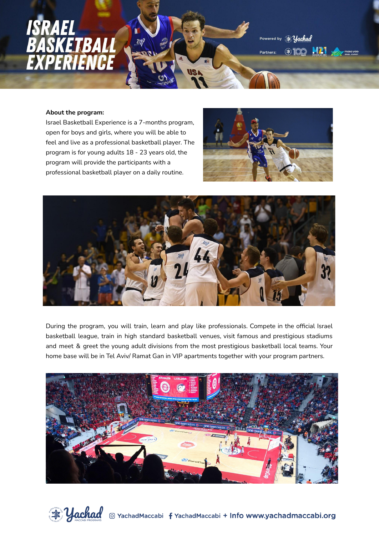

Partners:

### **About the program:**

Israel Basketball Experience is a 7-months program, open for boys and girls, where you will be able to feel and live as a professional basketball player. The program is for young adults 18 - 23 years old, the program will provide the participants with a professional basketball player on a daily routine.



Powered by



During the program, you will train, learn and play like professionals. Compete in the official Israel basketball league, train in high standard basketball venues, visit famous and prestigious stadiums and meet & greet the young adult divisions from the most prestigious basketball local teams. Your home base will be in Tel Aviv/ Ramat Gan in VIP apartments together with your program partners.



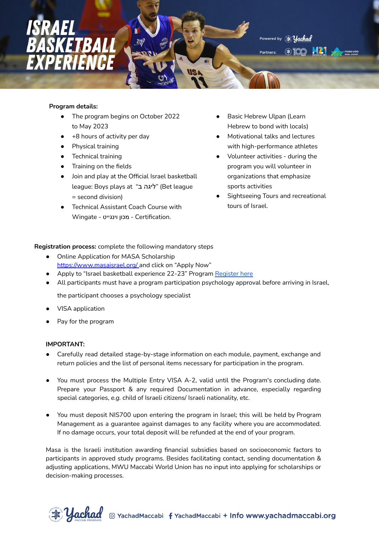

# **Program details:**

- The program begins on October 2022 to May 2023
- +8 hours of activity per day
- Physical training
- Technical training
- Training on the fields
- Join and play at the Official Israel basketball league: Boys plays at "ליגה ב' = second division)
- **Technical Assistant Coach Course with** .Certification - מכון וינגייט - Wingate
- Basic Hebrew Ulpan (Learn Hebrew to bond with locals)
- Motivational talks and lectures with high-performance athletes
- Volunteer activities during the program you will volunteer in organizations that emphasize sports activities
- **Sightseeing Tours and recreational** tours of Israel.

# **Registration process:** complete the following mandatory steps

- Online Application for MASA Scholarship <https://www.masaisrael.org/> and click on "Apply Now"
- Apply to "Israel basketball experience 22-23" Program [Register](https://israelexperience.secure.force.com/REG_SelectExperience?exptype=Macabi%20Bekeff&lang=es) here
- All participants must have a program participation psychology approval before arriving in Israel,

the participant chooses a psychology specialist

- **VISA** application
- Pay for the program

# **IMPORTANT:**

- Carefully read detailed stage-by-stage information on each module, payment, exchange and return policies and the list of personal items necessary for participation in the program.
- You must process the Multiple Entry VISA A-2, valid until the Program's concluding date. Prepare your Passport & any required Documentation in advance, especially regarding special categories, *e.g.* child of Israeli citizens/ Israeli nationality, etc.
- You must deposit NIS700 upon entering the program in Israel; this will be held by Program Management as a guarantee against damages to any facility where you are accommodated. If no damage occurs, your total deposit will be refunded at the end of your program.

Masa is the Israeli institution awarding financial subsidies based on socioeconomic factors to participants in approved study programs. Besides facilitating contact, sending documentation & adjusting applications, MWU Maccabi World Union has no input into applying for scholarships or decision-making processes.

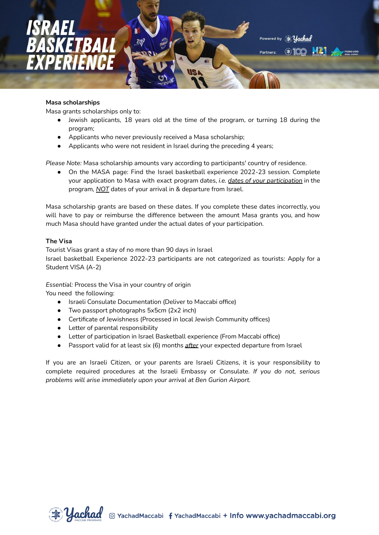

### **Masa scholarships**

Masa grants scholarships only to:

- Jewish applicants, 18 years old at the time of the program, or turning 18 during the program;
- Applicants who never previously received a Masa scholarship;
- Applicants who were not resident in Israel during the preceding 4 years;

*Please Note:* Masa scholarship amounts vary according to participants' country of residence.

● On the MASA page: Find the Israel basketball experience 2022-23 session. Complete your application to Masa with exact program dates, *i.e. dates of your participation* in the program*, NOT* dates of your arrival in & departure from Israel.

Masa scholarship grants are based on these dates. If you complete these dates incorrectly, you will have to pay or reimburse the difference between the amount Masa grants you, and how much Masa should have granted under the actual dates of your participation.

### **The Visa**

Tourist Visas grant a stay of no more than 90 days in Israel Israel basketball Experience 2022-23 participants are not categorized as tourists: Apply for a Student VISA (A-2)

*Essential:* Process the Visa in your country of origin

You need the following:

- Israeli Consulate Documentation (Deliver to Maccabi office)
- Two passport photographs 5x5cm (2x2 inch)
- Certificate of Jewishness (Processed in local Jewish Community offices)
- Letter of parental responsibility
- Letter of participation in Israel Basketball experience (From Maccabi office)
- Passport valid for at least six (6) months *after* your expected departure from Israel

If you are an Israeli Citizen, or your parents are Israeli Citizens, it is your responsibility to complete required procedures at the Israeli Embassy or Consulate. *If you do not, serious problems will arise immediately upon your arrival at Ben Gurion Airport.*